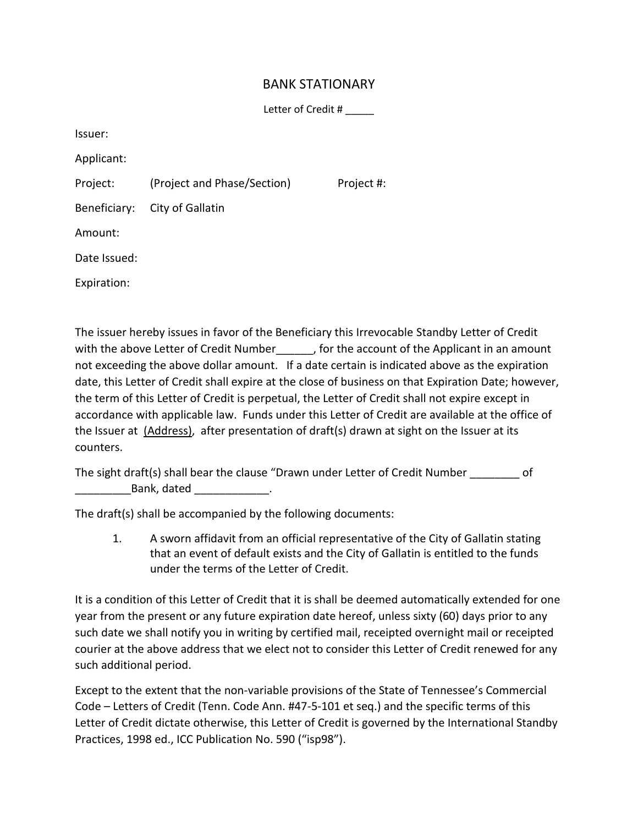## BANK STATIONARY

Letter of Credit #

Issuer:

Applicant:

Project: (Project and Phase/Section) Project #:

Beneficiary: City of Gallatin

Amount:

Date Issued:

Expiration:

The issuer hereby issues in favor of the Beneficiary this Irrevocable Standby Letter of Credit with the above Letter of Credit Number , for the account of the Applicant in an amount not exceeding the above dollar amount. If a date certain is indicated above as the expiration date, this Letter of Credit shall expire at the close of business on that Expiration Date; however, the term of this Letter of Credit is perpetual, the Letter of Credit shall not expire except in accordance with applicable law. Funds under this Letter of Credit are available at the office of the Issuer at (Address), after presentation of draft(s) drawn at sight on the Issuer at its counters.

The sight draft(s) shall bear the clause "Drawn under Letter of Credit Number \_\_\_\_\_\_\_\_ of \_\_\_\_\_\_\_\_\_Bank, dated \_\_\_\_\_\_\_\_\_\_\_\_.

The draft(s) shall be accompanied by the following documents:

1. A sworn affidavit from an official representative of the City of Gallatin stating that an event of default exists and the City of Gallatin is entitled to the funds under the terms of the Letter of Credit.

It is a condition of this Letter of Credit that it is shall be deemed automatically extended for one year from the present or any future expiration date hereof, unless sixty (60) days prior to any such date we shall notify you in writing by certified mail, receipted overnight mail or receipted courier at the above address that we elect not to consider this Letter of Credit renewed for any such additional period.

Except to the extent that the non-variable provisions of the State of Tennessee's Commercial Code – Letters of Credit (Tenn. Code Ann. #47-5-101 et seq.) and the specific terms of this Letter of Credit dictate otherwise, this Letter of Credit is governed by the International Standby Practices, 1998 ed., ICC Publication No. 590 ("isp98").